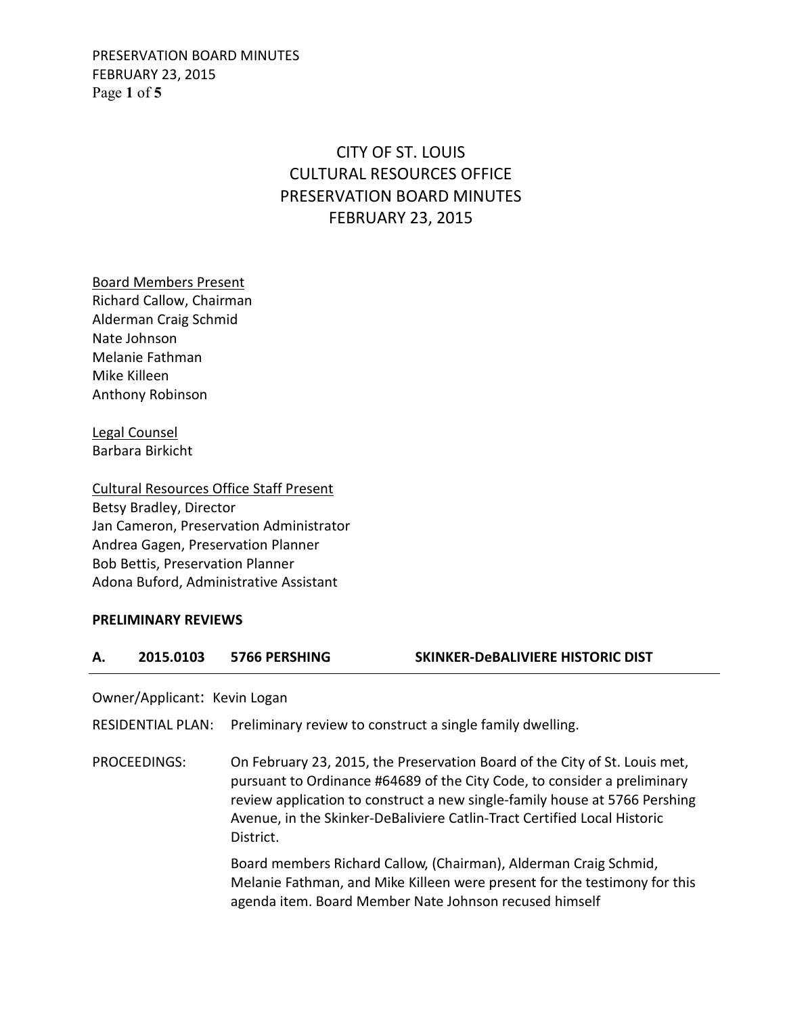PRESERVATION BOARD MINUTES FEBRUARY 23, 2015 Page **1** of **5**

# CITY OF ST. LOUIS CULTURAL RESOURCES OFFICE PRESERVATION BOARD MINUTES FEBRUARY 23, 2015

Board Members Present Richard Callow, Chairman Alderman Craig Schmid Nate Johnson Melanie Fathman Mike Killeen Anthony Robinson

Legal Counsel Barbara Birkicht

Cultural Resources Office Staff Present Betsy Bradley, Director Jan Cameron, Preservation Administrator Andrea Gagen, Preservation Planner Bob Bettis, Preservation Planner Adona Buford, Administrative Assistant

#### **PRELIMINARY REVIEWS**

#### **A. 2015.0103 5766 PERSHING SKINKER-DeBALIVIERE HISTORIC DIST**

Owner/Applicant: Kevin Logan

RESIDENTIAL PLAN: Preliminary review to construct a single family dwelling.

PROCEEDINGS: On February 23, 2015, the Preservation Board of the City of St. Louis met, pursuant to Ordinance #64689 of the City Code, to consider a preliminary review application to construct a new single-family house at 5766 Pershing Avenue, in the Skinker-DeBaliviere Catlin-Tract Certified Local Historic District.

> Board members Richard Callow, (Chairman), Alderman Craig Schmid, Melanie Fathman, and Mike Killeen were present for the testimony for this agenda item. Board Member Nate Johnson recused himself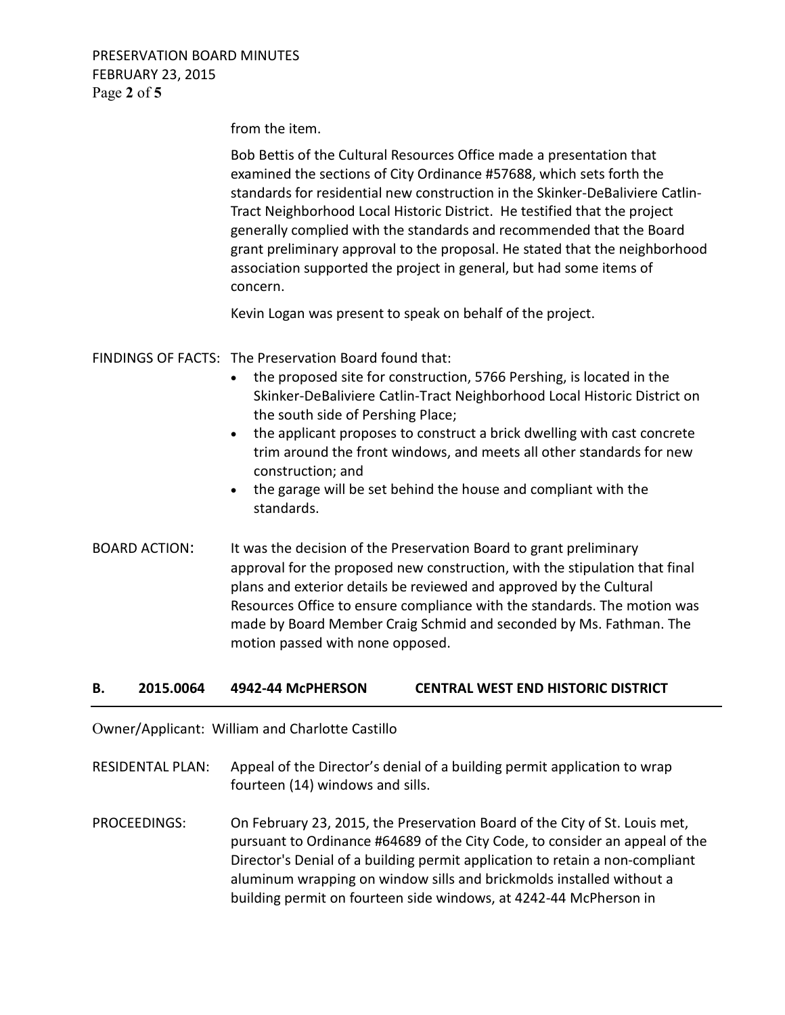PRESERVATION BOARD MINUTES FEBRUARY 23, 2015 Page **2** of **5**

from the item.

 Bob Bettis of the Cultural Resources Office made a presentation that examined the sections of City Ordinance #57688, which sets forth the standards for residential new construction in the Skinker-DeBaliviere Catlin- Tract Neighborhood Local Historic District. He testified that the project generally complied with the standards and recommended that the Board grant preliminary approval to the proposal. He stated that the neighborhood association supported the project in general, but had some items of concern.

Kevin Logan was present to speak on behalf of the project.

- FINDINGS OF FACTS: The Preservation Board found that:
	- the proposed site for construction, 5766 Pershing, is located in the Skinker-DeBaliviere Catlin-Tract Neighborhood Local Historic District on the south side of Pershing Place;
	- the applicant proposes to construct a brick dwelling with cast concrete trim around the front windows, and meets all other standards for new construction; and
	- the garage will be set behind the house and compliant with the standards.
- BOARD ACTION: It was the decision of the Preservation Board to grant preliminary approval for the proposed new construction, with the stipulation that final plans and exterior details be reviewed and approved by the Cultural Resources Office to ensure compliance with the standards. The motion was made by Board Member Craig Schmid and seconded by Ms. Fathman. The motion passed with none opposed.

## **B. 2015.0064 4942-44 McPHERSON CENTRAL WEST END HISTORIC DISTRICT**

Owner/Applicant: William and Charlotte Castillo

RESIDENTAL PLAN: Appeal of the Director's denial of a building permit application to wrap fourteen (14) windows and sills.

PROCEEDINGS: On February 23, 2015, the Preservation Board of the City of St. Louis met, pursuant to Ordinance #64689 of the City Code, to consider an appeal of the Director's Denial of a building permit application to retain a non-compliant aluminum wrapping on window sills and brickmolds installed without a building permit on fourteen side windows, at 4242-44 McPherson in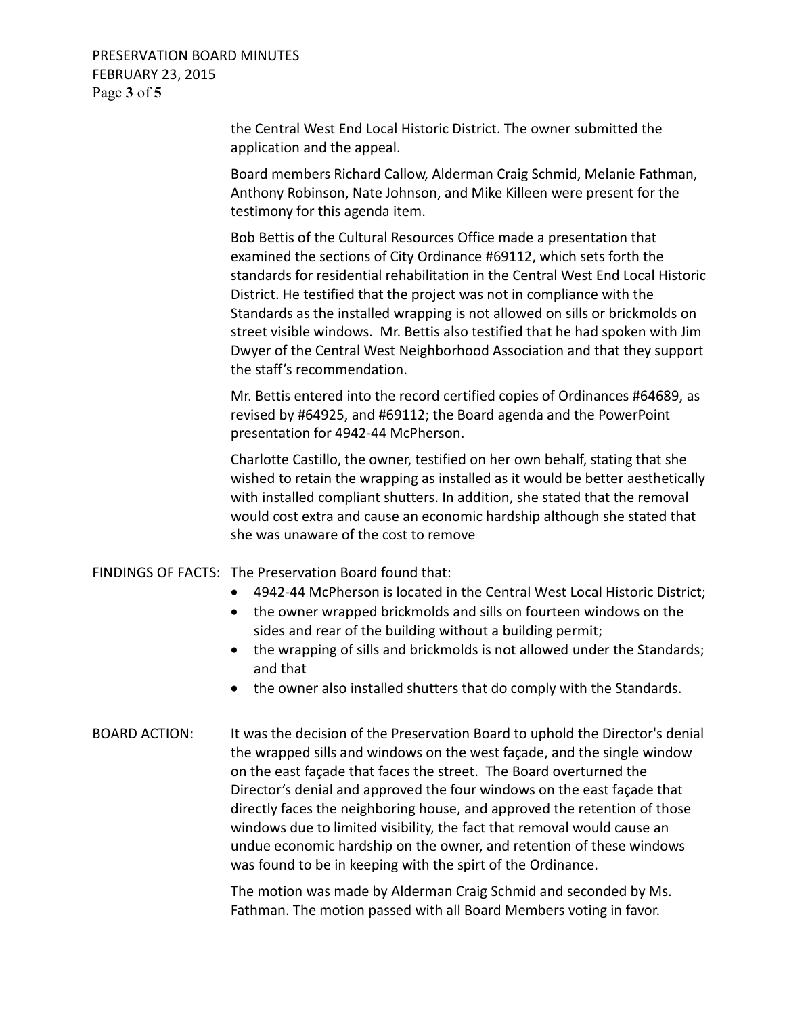PRESERVATION BOARD MINUTES FEBRUARY 23, 2015 Page **3** of **5**

> the Central West End Local Historic District. The owner submitted the application and the appeal.

 Board members Richard Callow, Alderman Craig Schmid, Melanie Fathman, Anthony Robinson, Nate Johnson, and Mike Killeen were present for the testimony for this agenda item.

 Bob Bettis of the Cultural Resources Office made a presentation that examined the sections of City Ordinance #69112, which sets forth the standards for residential rehabilitation in the Central West End Local Historic District. He testified that the project was not in compliance with the Standards as the installed wrapping is not allowed on sills or brickmolds on street visible windows. Mr. Bettis also testified that he had spoken with Jim Dwyer of the Central West Neighborhood Association and that they support the staff's recommendation.

 Mr. Bettis entered into the record certified copies of Ordinances #64689, as revised by #64925, and #69112; the Board agenda and the PowerPoint presentation for 4942-44 McPherson.

 Charlotte Castillo, the owner, testified on her own behalf, stating that she wished to retain the wrapping as installed as it would be better aesthetically with installed compliant shutters. In addition, she stated that the removal would cost extra and cause an economic hardship although she stated that she was unaware of the cost to remove

#### FINDINGS OF FACTS: The Preservation Board found that:

- 4942-44 McPherson is located in the Central West Local Historic District;
- the owner wrapped brickmolds and sills on fourteen windows on the sides and rear of the building without a building permit;
- the wrapping of sills and brickmolds is not allowed under the Standards; and that
- the owner also installed shutters that do comply with the Standards.
- BOARD ACTION: It was the decision of the Preservation Board to uphold the Director's denial the wrapped sills and windows on the west façade, and the single window on the east façade that faces the street. The Board overturned the Director's denial and approved the four windows on the east façade that directly faces the neighboring house, and approved the retention of those windows due to limited visibility, the fact that removal would cause an undue economic hardship on the owner, and retention of these windows was found to be in keeping with the spirt of the Ordinance.

 The motion was made by Alderman Craig Schmid and seconded by Ms. Fathman. The motion passed with all Board Members voting in favor.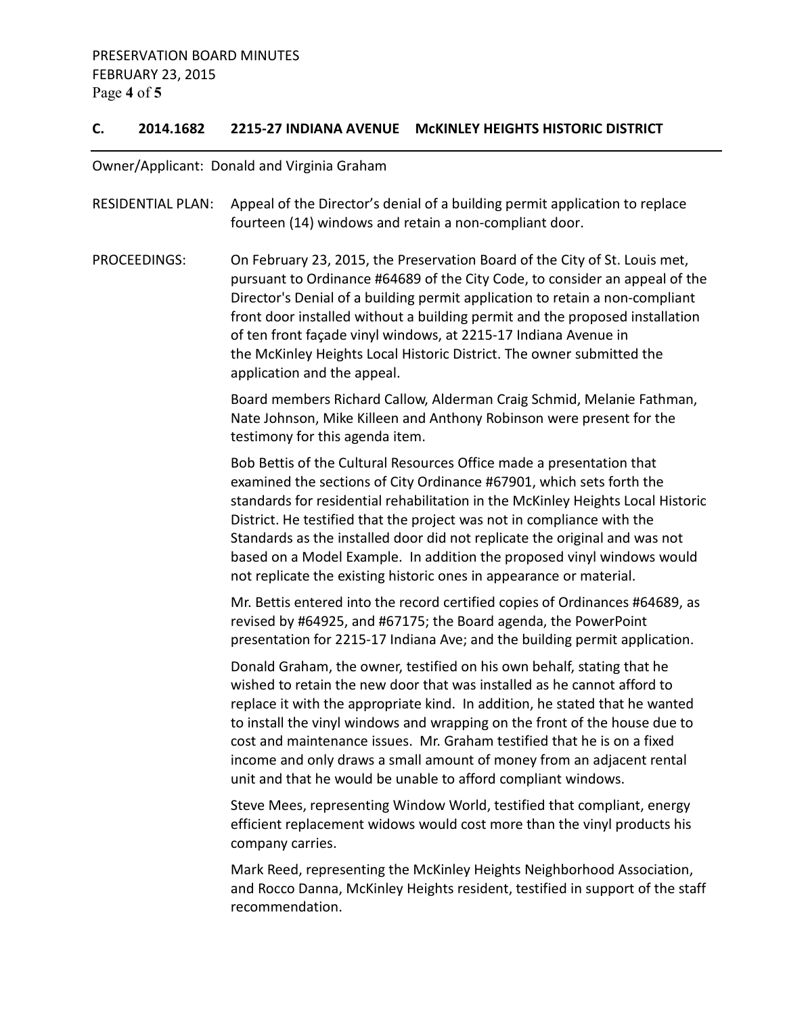# **C. 2014.1682 2215-27 INDIANA AVENUE McKINLEY HEIGHTS HISTORIC DISTRICT**

Owner/Applicant: Donald and Virginia Graham

| <b>RESIDENTIAL PLAN:</b> | Appeal of the Director's denial of a building permit application to replace<br>fourteen (14) windows and retain a non-compliant door.                                                                                                                                                                                                                                                                                                                                                                                                    |
|--------------------------|------------------------------------------------------------------------------------------------------------------------------------------------------------------------------------------------------------------------------------------------------------------------------------------------------------------------------------------------------------------------------------------------------------------------------------------------------------------------------------------------------------------------------------------|
| PROCEEDINGS:             | On February 23, 2015, the Preservation Board of the City of St. Louis met,<br>pursuant to Ordinance #64689 of the City Code, to consider an appeal of the<br>Director's Denial of a building permit application to retain a non-compliant<br>front door installed without a building permit and the proposed installation<br>of ten front façade vinyl windows, at 2215-17 Indiana Avenue in<br>the McKinley Heights Local Historic District. The owner submitted the<br>application and the appeal.                                     |
|                          | Board members Richard Callow, Alderman Craig Schmid, Melanie Fathman,<br>Nate Johnson, Mike Killeen and Anthony Robinson were present for the<br>testimony for this agenda item.                                                                                                                                                                                                                                                                                                                                                         |
|                          | Bob Bettis of the Cultural Resources Office made a presentation that<br>examined the sections of City Ordinance #67901, which sets forth the<br>standards for residential rehabilitation in the McKinley Heights Local Historic<br>District. He testified that the project was not in compliance with the<br>Standards as the installed door did not replicate the original and was not<br>based on a Model Example. In addition the proposed vinyl windows would<br>not replicate the existing historic ones in appearance or material. |
|                          | Mr. Bettis entered into the record certified copies of Ordinances #64689, as<br>revised by #64925, and #67175; the Board agenda, the PowerPoint<br>presentation for 2215-17 Indiana Ave; and the building permit application.                                                                                                                                                                                                                                                                                                            |
|                          | Donald Graham, the owner, testified on his own behalf, stating that he<br>wished to retain the new door that was installed as he cannot afford to<br>replace it with the appropriate kind. In addition, he stated that he wanted<br>to install the vinyl windows and wrapping on the front of the house due to<br>cost and maintenance issues. Mr. Graham testified that he is on a fixed<br>income and only draws a small amount of money from an adjacent rental<br>unit and that he would be unable to afford compliant windows.      |
|                          | Steve Mees, representing Window World, testified that compliant, energy<br>efficient replacement widows would cost more than the vinyl products his<br>company carries.                                                                                                                                                                                                                                                                                                                                                                  |

 Mark Reed, representing the McKinley Heights Neighborhood Association, and Rocco Danna, McKinley Heights resident, testified in support of the staff recommendation.